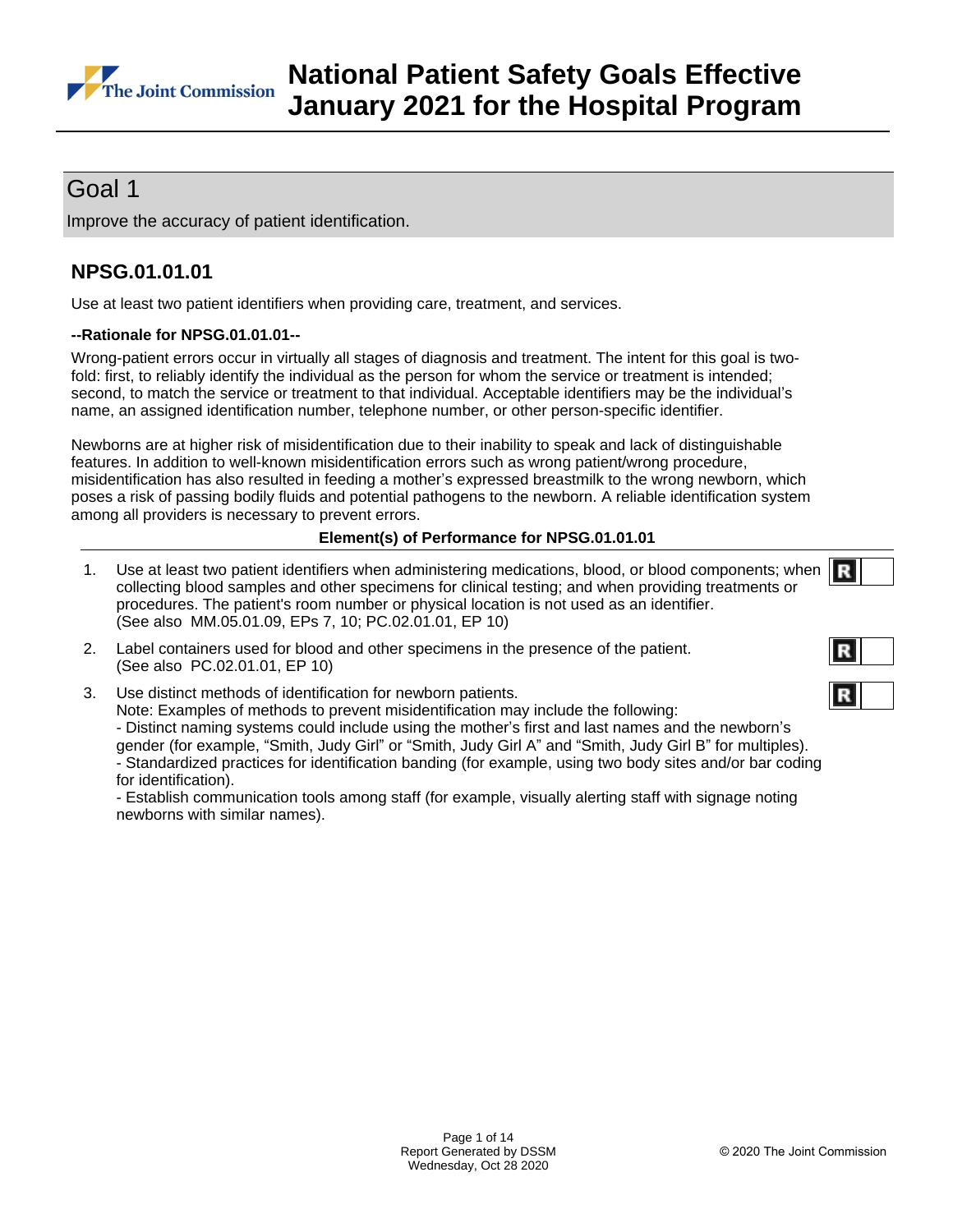

Improve the accuracy of patient identification.

## **NPSG.01.01.01**

Use at least two patient identifiers when providing care, treatment, and services.

#### **--Rationale for NPSG.01.01.01--**

Wrong-patient errors occur in virtually all stages of diagnosis and treatment. The intent for this goal is twofold: first, to reliably identify the individual as the person for whom the service or treatment is intended; second, to match the service or treatment to that individual. Acceptable identifiers may be the individual's name, an assigned identification number, telephone number, or other person-specific identifier.

Newborns are at higher risk of misidentification due to their inability to speak and lack of distinguishable features. In addition to well-known misidentification errors such as wrong patient/wrong procedure, misidentification has also resulted in feeding a mother's expressed breastmilk to the wrong newborn, which poses a risk of passing bodily fluids and potential pathogens to the newborn. A reliable identification system among all providers is necessary to prevent errors.

#### **Element(s) of Performance for NPSG.01.01.01**

- 1. Use at least two patient identifiers when administering medications, blood, or blood components; when  $\|\cdot\|$ collecting blood samples and other specimens for clinical testing; and when providing treatments or procedures. The patient's room number or physical location is not used as an identifier. (See also MM.05.01.09, EPs 7, 10; PC.02.01.01, EP 10)
- 2. Label containers used for blood and other specimens in the presence of the patient. (See also PC.02.01.01, EP 10)
- 3. Use distinct methods of identification for newborn patients. Note: Examples of methods to prevent misidentification may include the following: - Distinct naming systems could include using the mother's first and last names and the newborn's gender (for example, "Smith, Judy Girl" or "Smith, Judy Girl A" and "Smith, Judy Girl B" for multiples). - Standardized practices for identification banding (for example, using two body sites and/or bar coding for identification).

- Establish communication tools among staff (for example, visually alerting staff with signage noting newborns with similar names).

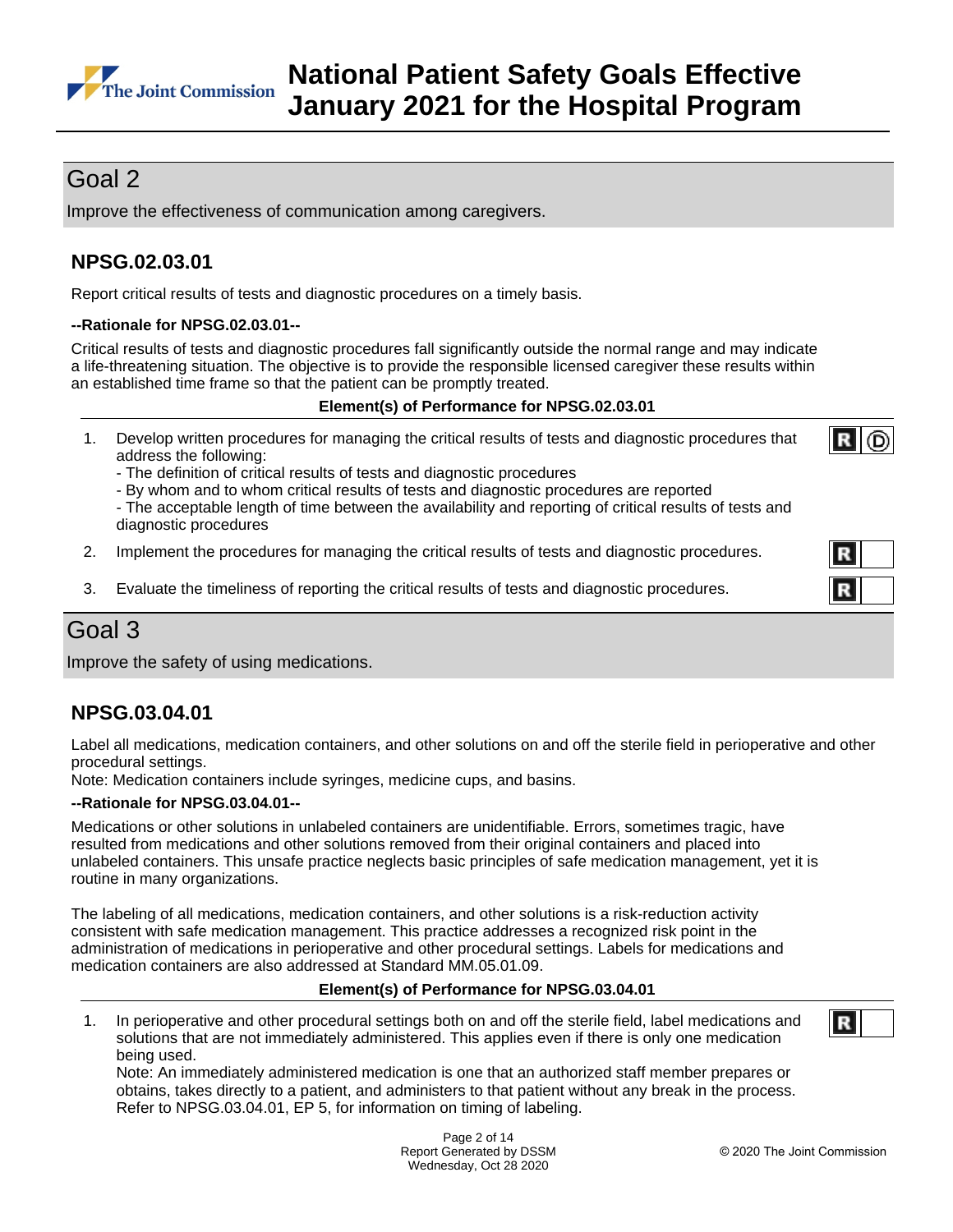

Improve the effectiveness of communication among caregivers.

## **NPSG.02.03.01**

Report critical results of tests and diagnostic procedures on a timely basis.

#### **--Rationale for NPSG.02.03.01--**

Critical results of tests and diagnostic procedures fall significantly outside the normal range and may indicate a life-threatening situation. The objective is to provide the responsible licensed caregiver these results within an established time frame so that the patient can be promptly treated.

#### **Element(s) of Performance for NPSG.02.03.01**

- 1. Develop written procedures for managing the critical results of tests and diagnostic procedures that address the following:
	- The definition of critical results of tests and diagnostic procedures
	- By whom and to whom critical results of tests and diagnostic procedures are reported
	- The acceptable length of time between the availability and reporting of critical results of tests and diagnostic procedures
- 2. Implement the procedures for managing the critical results of tests and diagnostic procedures.
- 3. Evaluate the timeliness of reporting the critical results of tests and diagnostic procedures.

# Goal 3

Improve the safety of using medications.

## **NPSG.03.04.01**

Label all medications, medication containers, and other solutions on and off the sterile field in perioperative and other procedural settings.

Note: Medication containers include syringes, medicine cups, and basins.

#### **--Rationale for NPSG.03.04.01--**

Medications or other solutions in unlabeled containers are unidentifiable. Errors, sometimes tragic, have resulted from medications and other solutions removed from their original containers and placed into unlabeled containers. This unsafe practice neglects basic principles of safe medication management, yet it is routine in many organizations.

The labeling of all medications, medication containers, and other solutions is a risk-reduction activity consistent with safe medication management. This practice addresses a recognized risk point in the administration of medications in perioperative and other procedural settings. Labels for medications and medication containers are also addressed at Standard MM.05.01.09.

#### **Element(s) of Performance for NPSG.03.04.01**

1. In perioperative and other procedural settings both on and off the sterile field, label medications and solutions that are not immediately administered. This applies even if there is only one medication being used.

Note: An immediately administered medication is one that an authorized staff member prepares or obtains, takes directly to a patient, and administers to that patient without any break in the process. Refer to NPSG.03.04.01, EP 5, for information on timing of labeling.



| ١ |  |  |
|---|--|--|
|   |  |  |
|   |  |  |



IR I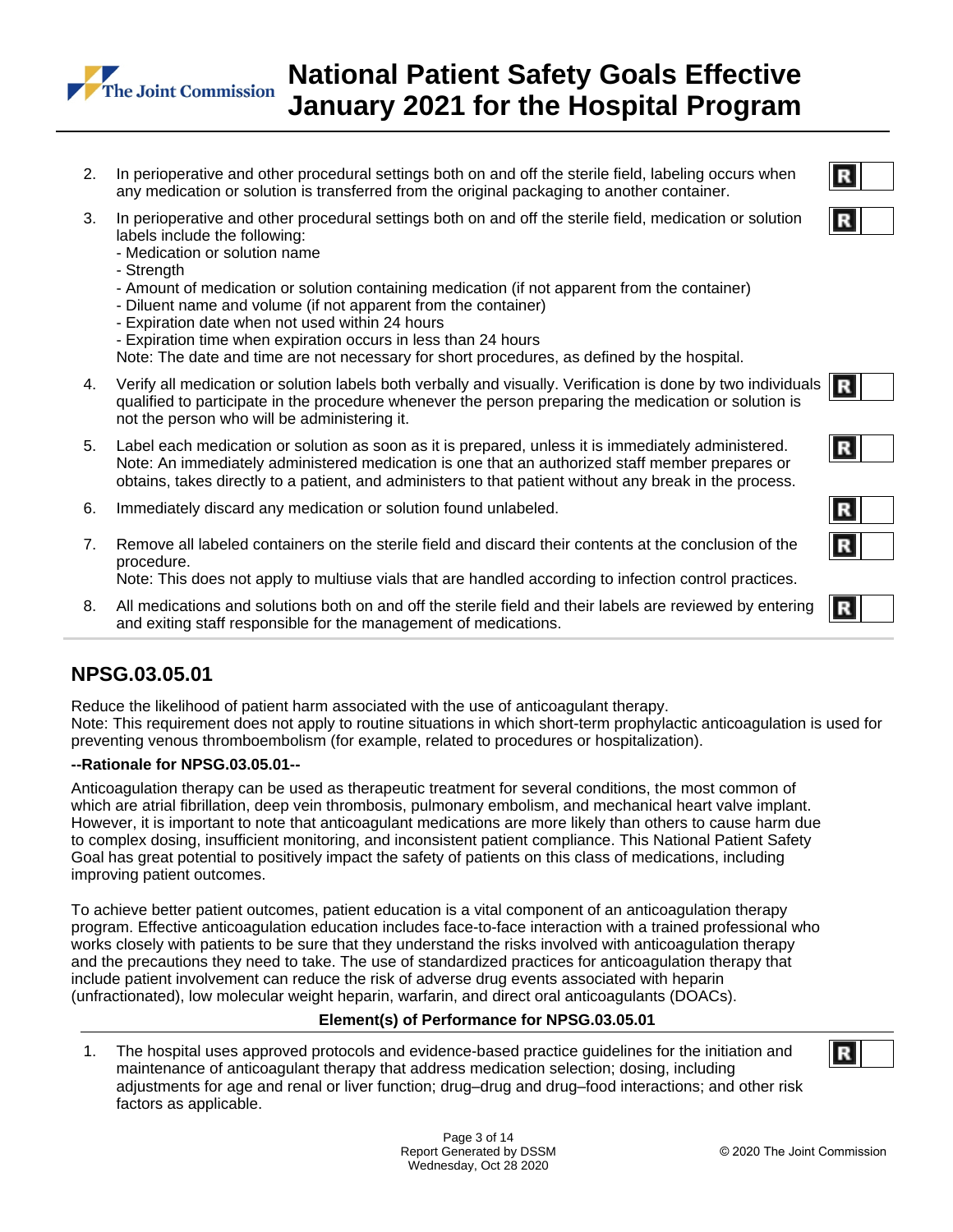Page 3 of 14 Report Generated by DSSM Wednesday, Oct 28 2020

# **National Patient Safety Goals Effective January 2021 for the Hospital Program**

- 2. In perioperative and other procedural settings both on and off the sterile field, labeling occurs when any medication or solution is transferred from the original packaging to another container.
- 3. In perioperative and other procedural settings both on and off the sterile field, medication or solution labels include the following:
	- Medication or solution name

The Joint Commission

- Strength
- Amount of medication or solution containing medication (if not apparent from the container)
- Diluent name and volume (if not apparent from the container)
- Expiration date when not used within 24 hours
- Expiration time when expiration occurs in less than 24 hours
- Note: The date and time are not necessary for short procedures, as defined by the hospital.
- 4. Verify all medication or solution labels both verbally and visually. Verification is done by two individuals qualified to participate in the procedure whenever the person preparing the medication or solution is not the person who will be administering it.
- 5. Label each medication or solution as soon as it is prepared, unless it is immediately administered. Note: An immediately administered medication is one that an authorized staff member prepares or obtains, takes directly to a patient, and administers to that patient without any break in the process.
- 6. Immediately discard any medication or solution found unlabeled.
- 7. Remove all labeled containers on the sterile field and discard their contents at the conclusion of the procedure.

Note: This does not apply to multiuse vials that are handled according to infection control practices.

8. All medications and solutions both on and off the sterile field and their labels are reviewed by entering and exiting staff responsible for the management of medications.

# **NPSG.03.05.01**

Reduce the likelihood of patient harm associated with the use of anticoagulant therapy. Note: This requirement does not apply to routine situations in which short-term prophylactic anticoagulation is used for preventing venous thromboembolism (for example, related to procedures or hospitalization).

#### **--Rationale for NPSG.03.05.01--**

Anticoagulation therapy can be used as therapeutic treatment for several conditions, the most common of which are atrial fibrillation, deep vein thrombosis, pulmonary embolism, and mechanical heart valve implant. However, it is important to note that anticoagulant medications are more likely than others to cause harm due to complex dosing, insufficient monitoring, and inconsistent patient compliance. This National Patient Safety Goal has great potential to positively impact the safety of patients on this class of medications, including improving patient outcomes.

To achieve better patient outcomes, patient education is a vital component of an anticoagulation therapy program. Effective anticoagulation education includes face-to-face interaction with a trained professional who works closely with patients to be sure that they understand the risks involved with anticoagulation therapy and the precautions they need to take. The use of standardized practices for anticoagulation therapy that include patient involvement can reduce the risk of adverse drug events associated with heparin (unfractionated), low molecular weight heparin, warfarin, and direct oral anticoagulants (DOACs).

### **Element(s) of Performance for NPSG.03.05.01**

1. The hospital uses approved protocols and evidence-based practice guidelines for the initiation and maintenance of anticoagulant therapy that address medication selection; dosing, including adjustments for age and renal or liver function; drug–drug and drug–food interactions; and other risk factors as applicable.







R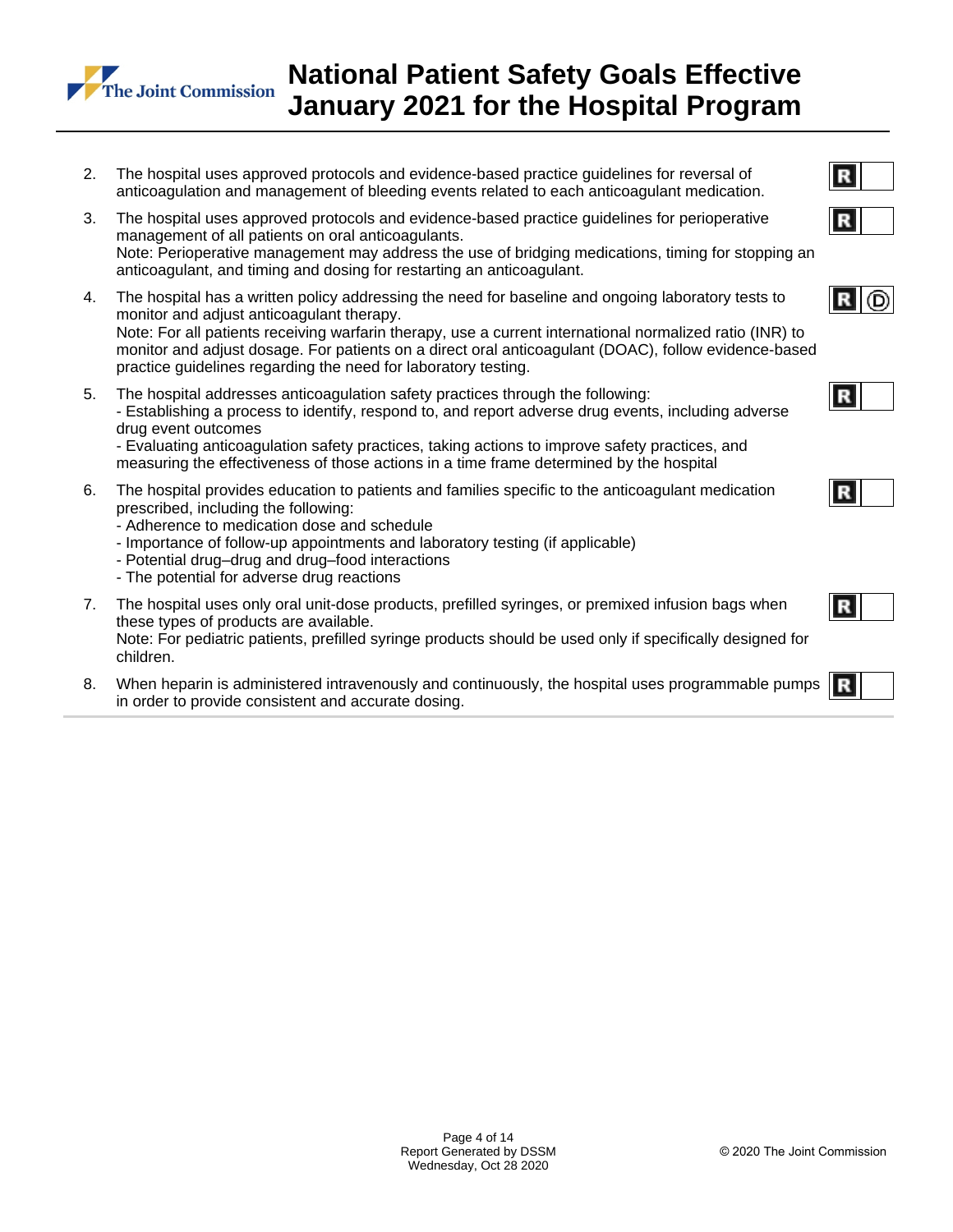**National Patient Safety Goals Effective** 

**January 2021 for the Hospital Program**

- 2. The hospital uses approved protocols and evidence-based practice guidelines for reversal of anticoagulation and management of bleeding events related to each anticoagulant medication.
- 3. The hospital uses approved protocols and evidence-based practice guidelines for perioperative management of all patients on oral anticoagulants. Note: Perioperative management may address the use of bridging medications, timing for stopping an anticoagulant, and timing and dosing for restarting an anticoagulant.
- 4. The hospital has a written policy addressing the need for baseline and ongoing laboratory tests to monitor and adjust anticoagulant therapy. Note: For all patients receiving warfarin therapy, use a current international normalized ratio (INR) to monitor and adjust dosage. For patients on a direct oral anticoagulant (DOAC), follow evidence-based practice guidelines regarding the need for laboratory testing.
- 5. The hospital addresses anticoagulation safety practices through the following: - Establishing a process to identify, respond to, and report adverse drug events, including adverse drug event outcomes

- Evaluating anticoagulation safety practices, taking actions to improve safety practices, and measuring the effectiveness of those actions in a time frame determined by the hospital

- 6. The hospital provides education to patients and families specific to the anticoagulant medication prescribed, including the following:
	- Adherence to medication dose and schedule
	- Importance of follow-up appointments and laboratory testing (if applicable)
	- Potential drug–drug and drug–food interactions
	- The potential for adverse drug reactions

The Joint Commission

- 7. The hospital uses only oral unit-dose products, prefilled syringes, or premixed infusion bags when these types of products are available. Note: For pediatric patients, prefilled syringe products should be used only if specifically designed for children.
- 8. When heparin is administered intravenously and continuously, the hospital uses programmable pumps || in order to provide consistent and accurate dosing.







| Page 4 of 14                    |  |
|---------------------------------|--|
| <b>Report Generated by DSSM</b> |  |
| Wednesday, Oct 28 2020          |  |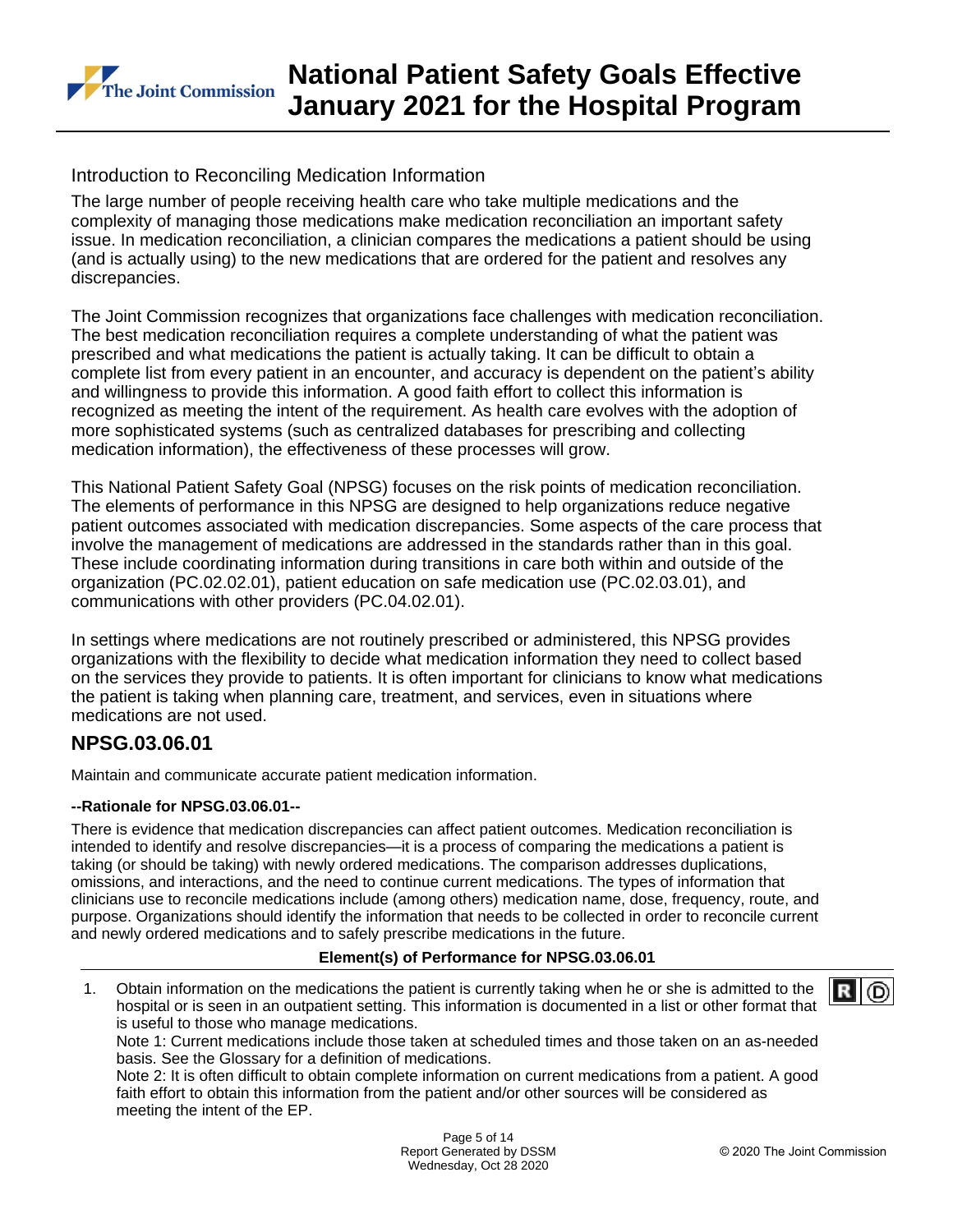The Joint Commission

### Introduction to Reconciling Medication Information

The large number of people receiving health care who take multiple medications and the complexity of managing those medications make medication reconciliation an important safety issue. In medication reconciliation, a clinician compares the medications a patient should be using (and is actually using) to the new medications that are ordered for the patient and resolves any discrepancies.

The Joint Commission recognizes that organizations face challenges with medication reconciliation. The best medication reconciliation requires a complete understanding of what the patient was prescribed and what medications the patient is actually taking. It can be difficult to obtain a complete list from every patient in an encounter, and accuracy is dependent on the patient's ability and willingness to provide this information. A good faith effort to collect this information is recognized as meeting the intent of the requirement. As health care evolves with the adoption of more sophisticated systems (such as centralized databases for prescribing and collecting medication information), the effectiveness of these processes will grow.

This National Patient Safety Goal (NPSG) focuses on the risk points of medication reconciliation. The elements of performance in this NPSG are designed to help organizations reduce negative patient outcomes associated with medication discrepancies. Some aspects of the care process that involve the management of medications are addressed in the standards rather than in this goal. These include coordinating information during transitions in care both within and outside of the organization (PC.02.02.01), patient education on safe medication use (PC.02.03.01), and communications with other providers (PC.04.02.01).

In settings where medications are not routinely prescribed or administered, this NPSG provides organizations with the flexibility to decide what medication information they need to collect based on the services they provide to patients. It is often important for clinicians to know what medications the patient is taking when planning care, treatment, and services, even in situations where medications are not used.

### **NPSG.03.06.01**

Maintain and communicate accurate patient medication information.

#### **--Rationale for NPSG.03.06.01--**

There is evidence that medication discrepancies can affect patient outcomes. Medication reconciliation is intended to identify and resolve discrepancies—it is a process of comparing the medications a patient is taking (or should be taking) with newly ordered medications. The comparison addresses duplications, omissions, and interactions, and the need to continue current medications. The types of information that clinicians use to reconcile medications include (among others) medication name, dose, frequency, route, and purpose. Organizations should identify the information that needs to be collected in order to reconcile current and newly ordered medications and to safely prescribe medications in the future.

#### **Element(s) of Performance for NPSG.03.06.01**

1. Obtain information on the medications the patient is currently taking when he or she is admitted to the hospital or is seen in an outpatient setting. This information is documented in a list or other format that is useful to those who manage medications.



Note 1: Current medications include those taken at scheduled times and those taken on an as-needed basis. See the Glossary for a definition of medications.

Note 2: It is often difficult to obtain complete information on current medications from a patient. A good faith effort to obtain this information from the patient and/or other sources will be considered as meeting the intent of the EP.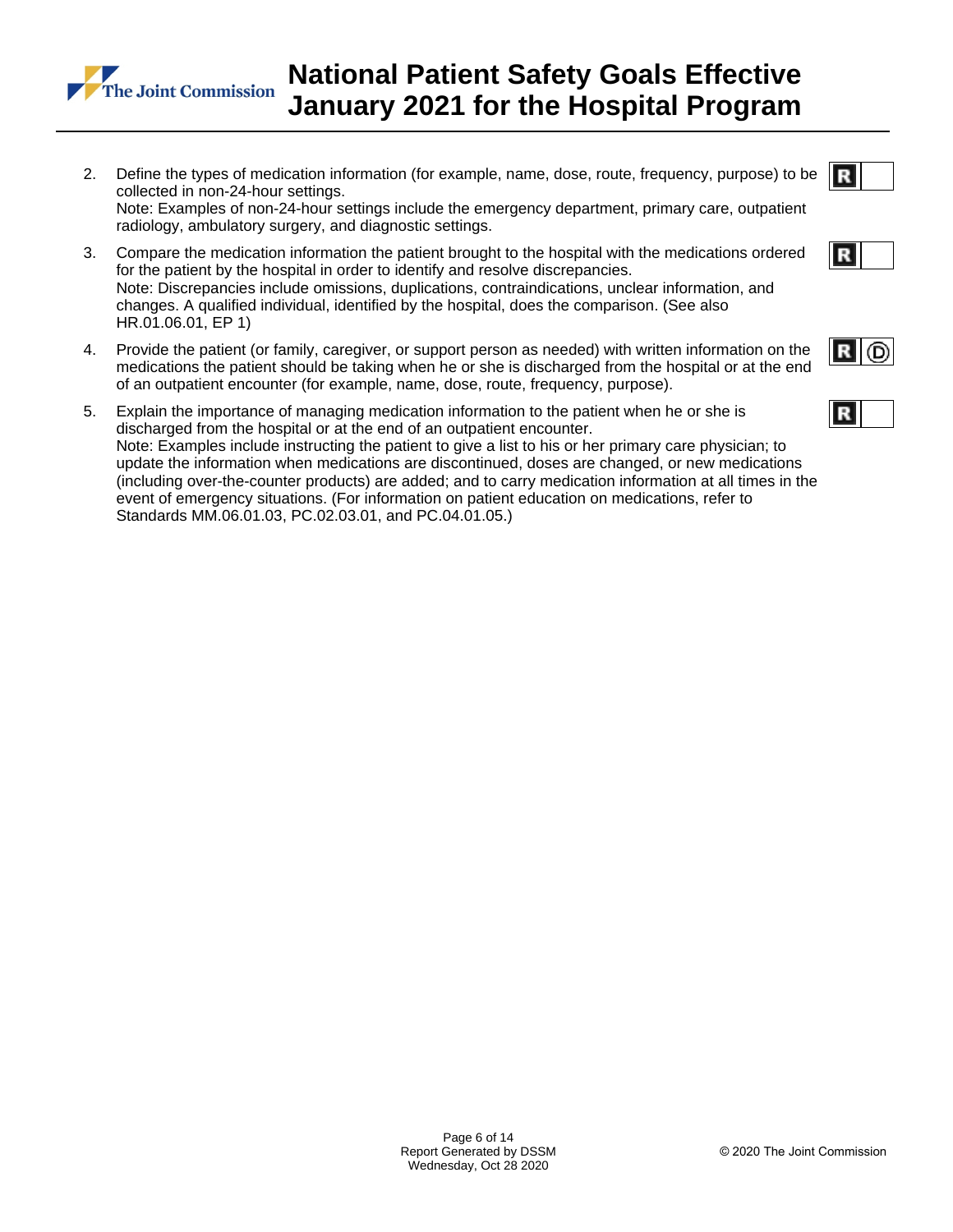**National Patient Safety Goals Effective**  The Joint Commission **January 2021 for the Hospital Program**

- 2. Define the types of medication information (for example, name, dose, route, frequency, purpose) to be collected in non-24-hour settings. Note: Examples of non-24-hour settings include the emergency department, primary care, outpatient radiology, ambulatory surgery, and diagnostic settings.
- 3. Compare the medication information the patient brought to the hospital with the medications ordered for the patient by the hospital in order to identify and resolve discrepancies. Note: Discrepancies include omissions, duplications, contraindications, unclear information, and changes. A qualified individual, identified by the hospital, does the comparison. (See also HR.01.06.01, EP 1)
- 4. Provide the patient (or family, caregiver, or support person as needed) with written information on the medications the patient should be taking when he or she is discharged from the hospital or at the end of an outpatient encounter (for example, name, dose, route, frequency, purpose).
- 5. Explain the importance of managing medication information to the patient when he or she is discharged from the hospital or at the end of an outpatient encounter. Note: Examples include instructing the patient to give a list to his or her primary care physician; to update the information when medications are discontinued, doses are changed, or new medications (including over-the-counter products) are added; and to carry medication information at all times in the event of emergency situations. (For information on patient education on medications, refer to Standards MM.06.01.03, PC.02.03.01, and PC.04.01.05.)

|--|

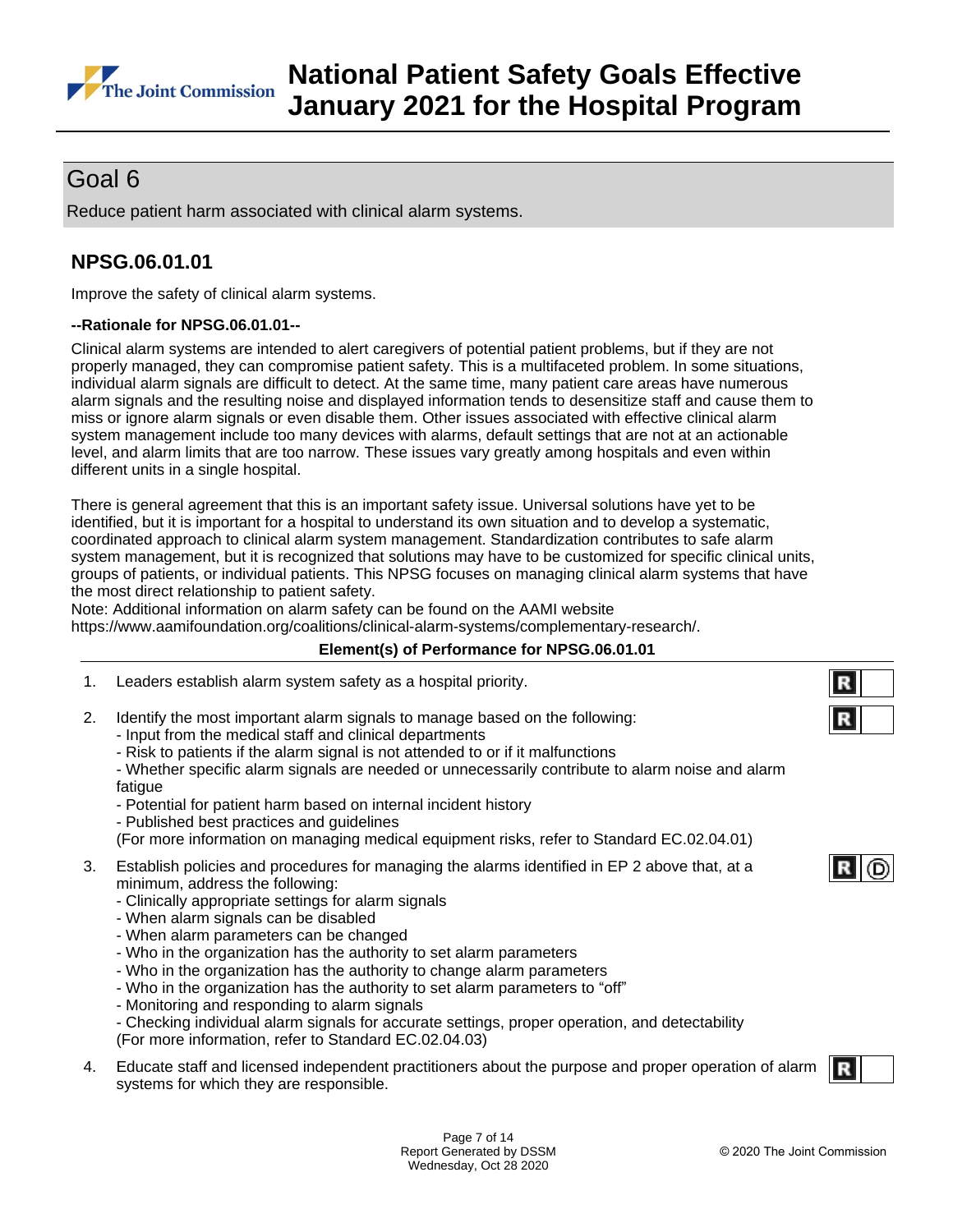

Reduce patient harm associated with clinical alarm systems.

## **NPSG.06.01.01**

Improve the safety of clinical alarm systems.

#### **--Rationale for NPSG.06.01.01--**

Clinical alarm systems are intended to alert caregivers of potential patient problems, but if they are not properly managed, they can compromise patient safety. This is a multifaceted problem. In some situations, individual alarm signals are difficult to detect. At the same time, many patient care areas have numerous alarm signals and the resulting noise and displayed information tends to desensitize staff and cause them to miss or ignore alarm signals or even disable them. Other issues associated with effective clinical alarm system management include too many devices with alarms, default settings that are not at an actionable level, and alarm limits that are too narrow. These issues vary greatly among hospitals and even within different units in a single hospital.

There is general agreement that this is an important safety issue. Universal solutions have yet to be identified, but it is important for a hospital to understand its own situation and to develop a systematic, coordinated approach to clinical alarm system management. Standardization contributes to safe alarm system management, but it is recognized that solutions may have to be customized for specific clinical units, groups of patients, or individual patients. This NPSG focuses on managing clinical alarm systems that have the most direct relationship to patient safety.

Note: Additional information on alarm safety can be found on the AAMI website https://www.aamifoundation.org/coalitions/clinical-alarm-systems/complementary-research/.

#### **Element(s) of Performance for NPSG.06.01.01**

- 1. Leaders establish alarm system safety as a hospital priority.
- 2. Identify the most important alarm signals to manage based on the following: - Input from the medical staff and clinical departments
	- Risk to patients if the alarm signal is not attended to or if it malfunctions

- Whether specific alarm signals are needed or unnecessarily contribute to alarm noise and alarm fatigue

- Potential for patient harm based on internal incident history
- Published best practices and guidelines

(For more information on managing medical equipment risks, refer to Standard EC.02.04.01)

- 3. Establish policies and procedures for managing the alarms identified in EP 2 above that, at a minimum, address the following:
	- Clinically appropriate settings for alarm signals
	- When alarm signals can be disabled
	- When alarm parameters can be changed
	- Who in the organization has the authority to set alarm parameters
	- Who in the organization has the authority to change alarm parameters
	- Who in the organization has the authority to set alarm parameters to "off"
	- Monitoring and responding to alarm signals
	- Checking individual alarm signals for accurate settings, proper operation, and detectability
	- (For more information, refer to Standard EC.02.04.03)
- 4. Educate staff and licensed independent practitioners about the purpose and proper operation of alarm systems for which they are responsible.





IRHO)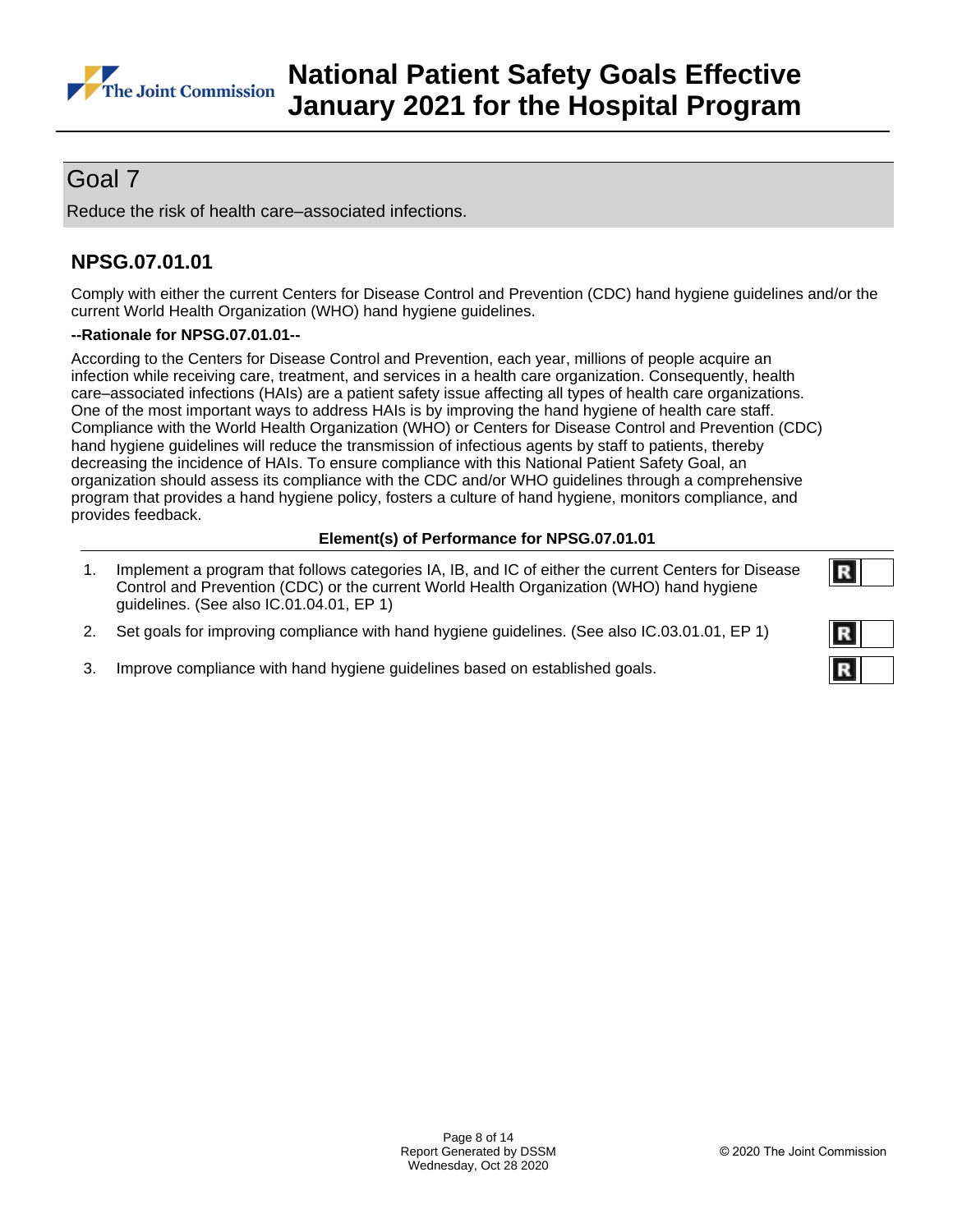

Reduce the risk of health care–associated infections.

## **NPSG.07.01.01**

Comply with either the current Centers for Disease Control and Prevention (CDC) hand hygiene guidelines and/or the current World Health Organization (WHO) hand hygiene guidelines.

#### **--Rationale for NPSG.07.01.01--**

According to the Centers for Disease Control and Prevention, each year, millions of people acquire an infection while receiving care, treatment, and services in a health care organization. Consequently, health care–associated infections (HAIs) are a patient safety issue affecting all types of health care organizations. One of the most important ways to address HAIs is by improving the hand hygiene of health care staff. Compliance with the World Health Organization (WHO) or Centers for Disease Control and Prevention (CDC) hand hygiene guidelines will reduce the transmission of infectious agents by staff to patients, thereby decreasing the incidence of HAIs. To ensure compliance with this National Patient Safety Goal, an organization should assess its compliance with the CDC and/or WHO guidelines through a comprehensive program that provides a hand hygiene policy, fosters a culture of hand hygiene, monitors compliance, and provides feedback.

#### **Element(s) of Performance for NPSG.07.01.01**

- 1. Implement a program that follows categories IA, IB, and IC of either the current Centers for Disease Control and Prevention (CDC) or the current World Health Organization (WHO) hand hygiene guidelines. (See also IC.01.04.01, EP 1)
- 2. Set goals for improving compliance with hand hygiene guidelines. (See also IC.03.01.01, EP 1)
- 3. Improve compliance with hand hygiene guidelines based on established goals.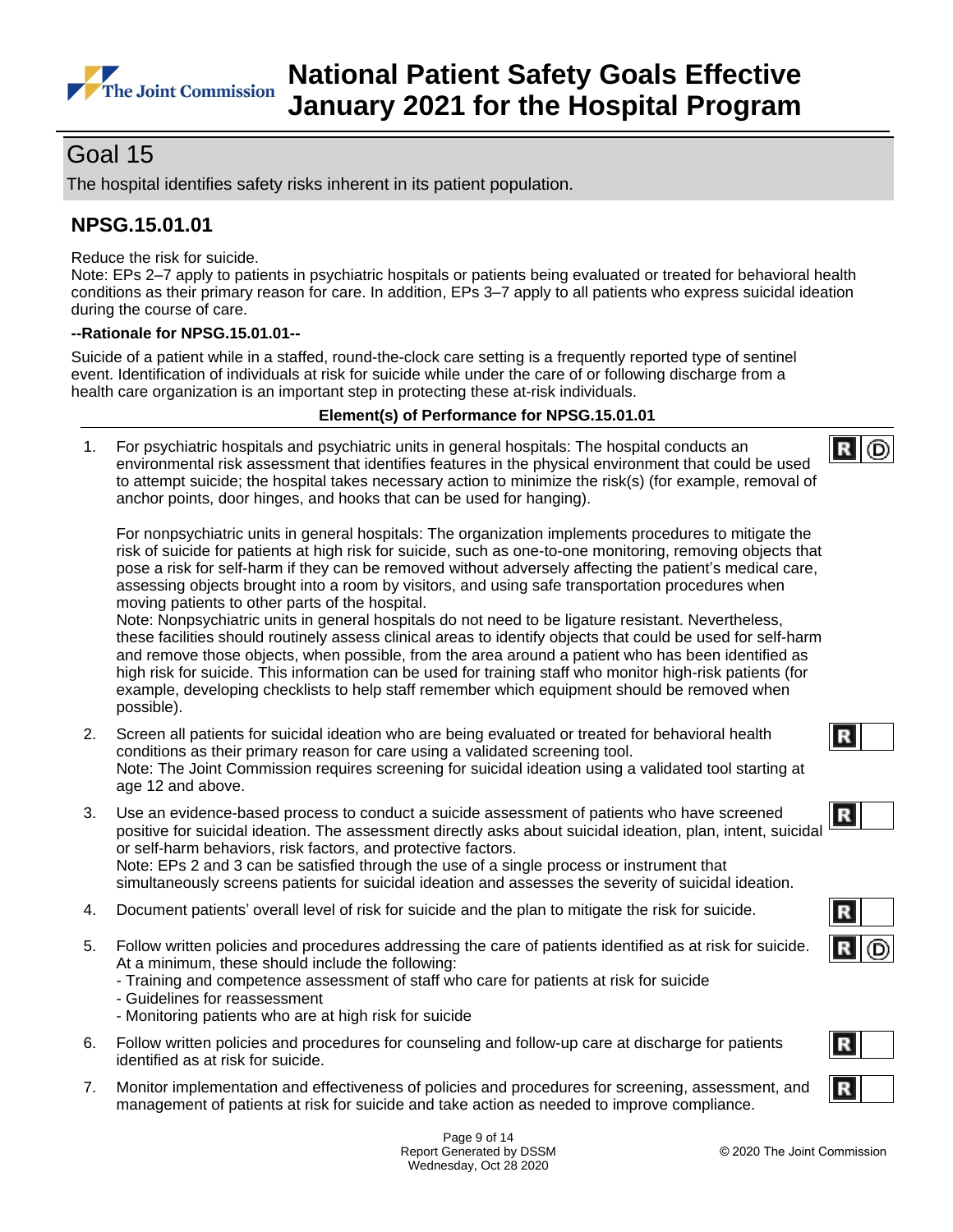

The hospital identifies safety risks inherent in its patient population.

## **NPSG.15.01.01**

Reduce the risk for suicide.

Note: EPs 2–7 apply to patients in psychiatric hospitals or patients being evaluated or treated for behavioral health conditions as their primary reason for care. In addition, EPs 3–7 apply to all patients who express suicidal ideation during the course of care.

#### **--Rationale for NPSG.15.01.01--**

Suicide of a patient while in a staffed, round-the-clock care setting is a frequently reported type of sentinel event. Identification of individuals at risk for suicide while under the care of or following discharge from a health care organization is an important step in protecting these at-risk individuals.

#### **Element(s) of Performance for NPSG.15.01.01**

1. For psychiatric hospitals and psychiatric units in general hospitals: The hospital conducts an environmental risk assessment that identifies features in the physical environment that could be used to attempt suicide; the hospital takes necessary action to minimize the risk(s) (for example, removal of anchor points, door hinges, and hooks that can be used for hanging).

For nonpsychiatric units in general hospitals: The organization implements procedures to mitigate the risk of suicide for patients at high risk for suicide, such as one-to-one monitoring, removing objects that pose a risk for self-harm if they can be removed without adversely affecting the patient's medical care, assessing objects brought into a room by visitors, and using safe transportation procedures when moving patients to other parts of the hospital.

Note: Nonpsychiatric units in general hospitals do not need to be ligature resistant. Nevertheless, these facilities should routinely assess clinical areas to identify objects that could be used for self-harm and remove those objects, when possible, from the area around a patient who has been identified as high risk for suicide. This information can be used for training staff who monitor high-risk patients (for example, developing checklists to help staff remember which equipment should be removed when possible).

- 2. Screen all patients for suicidal ideation who are being evaluated or treated for behavioral health conditions as their primary reason for care using a validated screening tool. Note: The Joint Commission requires screening for suicidal ideation using a validated tool starting at age 12 and above.
- 3. Use an evidence-based process to conduct a suicide assessment of patients who have screened positive for suicidal ideation. The assessment directly asks about suicidal ideation, plan, intent, suicidal or self-harm behaviors, risk factors, and protective factors. Note: EPs 2 and 3 can be satisfied through the use of a single process or instrument that simultaneously screens patients for suicidal ideation and assesses the severity of suicidal ideation.
- 4. Document patients' overall level of risk for suicide and the plan to mitigate the risk for suicide.
- 5. Follow written policies and procedures addressing the care of patients identified as at risk for suicide. At a minimum, these should include the following:
	- Training and competence assessment of staff who care for patients at risk for suicide
	- Guidelines for reassessment
	- Monitoring patients who are at high risk for suicide
- 6. Follow written policies and procedures for counseling and follow-up care at discharge for patients identified as at risk for suicide.
- 7. Monitor implementation and effectiveness of policies and procedures for screening, assessment, and management of patients at risk for suicide and take action as needed to improve compliance.





IЗ

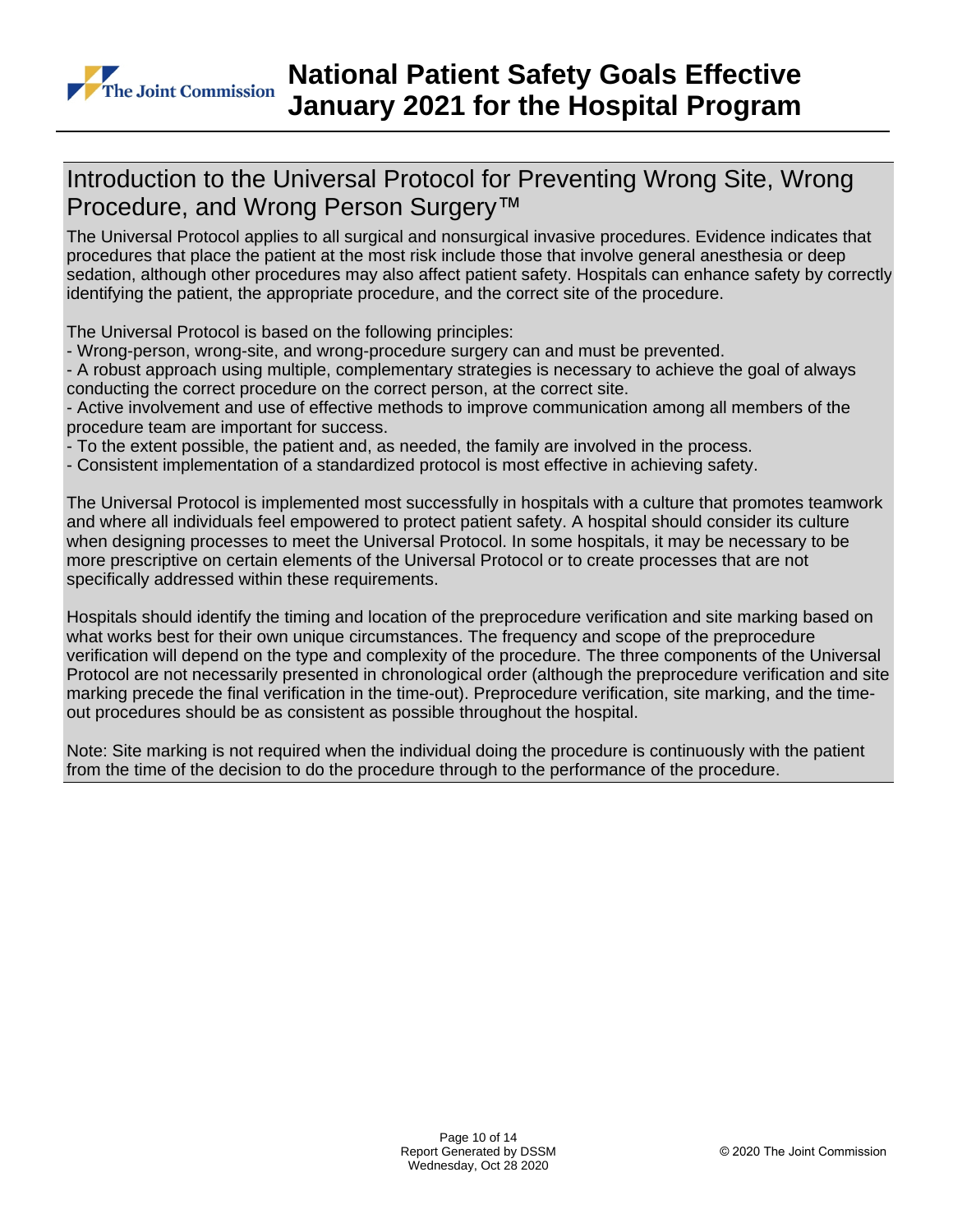The Joint Commission

# Introduction to the Universal Protocol for Preventing Wrong Site, Wrong Procedure, and Wrong Person Surgery™

The Universal Protocol applies to all surgical and nonsurgical invasive procedures. Evidence indicates that procedures that place the patient at the most risk include those that involve general anesthesia or deep sedation, although other procedures may also affect patient safety. Hospitals can enhance safety by correctly identifying the patient, the appropriate procedure, and the correct site of the procedure.

The Universal Protocol is based on the following principles:

- Wrong-person, wrong-site, and wrong-procedure surgery can and must be prevented.

- A robust approach using multiple, complementary strategies is necessary to achieve the goal of always conducting the correct procedure on the correct person, at the correct site.

- Active involvement and use of effective methods to improve communication among all members of the procedure team are important for success.

- To the extent possible, the patient and, as needed, the family are involved in the process.

- Consistent implementation of a standardized protocol is most effective in achieving safety.

The Universal Protocol is implemented most successfully in hospitals with a culture that promotes teamwork and where all individuals feel empowered to protect patient safety. A hospital should consider its culture when designing processes to meet the Universal Protocol. In some hospitals, it may be necessary to be more prescriptive on certain elements of the Universal Protocol or to create processes that are not specifically addressed within these requirements.

Hospitals should identify the timing and location of the preprocedure verification and site marking based on what works best for their own unique circumstances. The frequency and scope of the preprocedure verification will depend on the type and complexity of the procedure. The three components of the Universal Protocol are not necessarily presented in chronological order (although the preprocedure verification and site marking precede the final verification in the time-out). Preprocedure verification, site marking, and the timeout procedures should be as consistent as possible throughout the hospital.

Note: Site marking is not required when the individual doing the procedure is continuously with the patient from the time of the decision to do the procedure through to the performance of the procedure.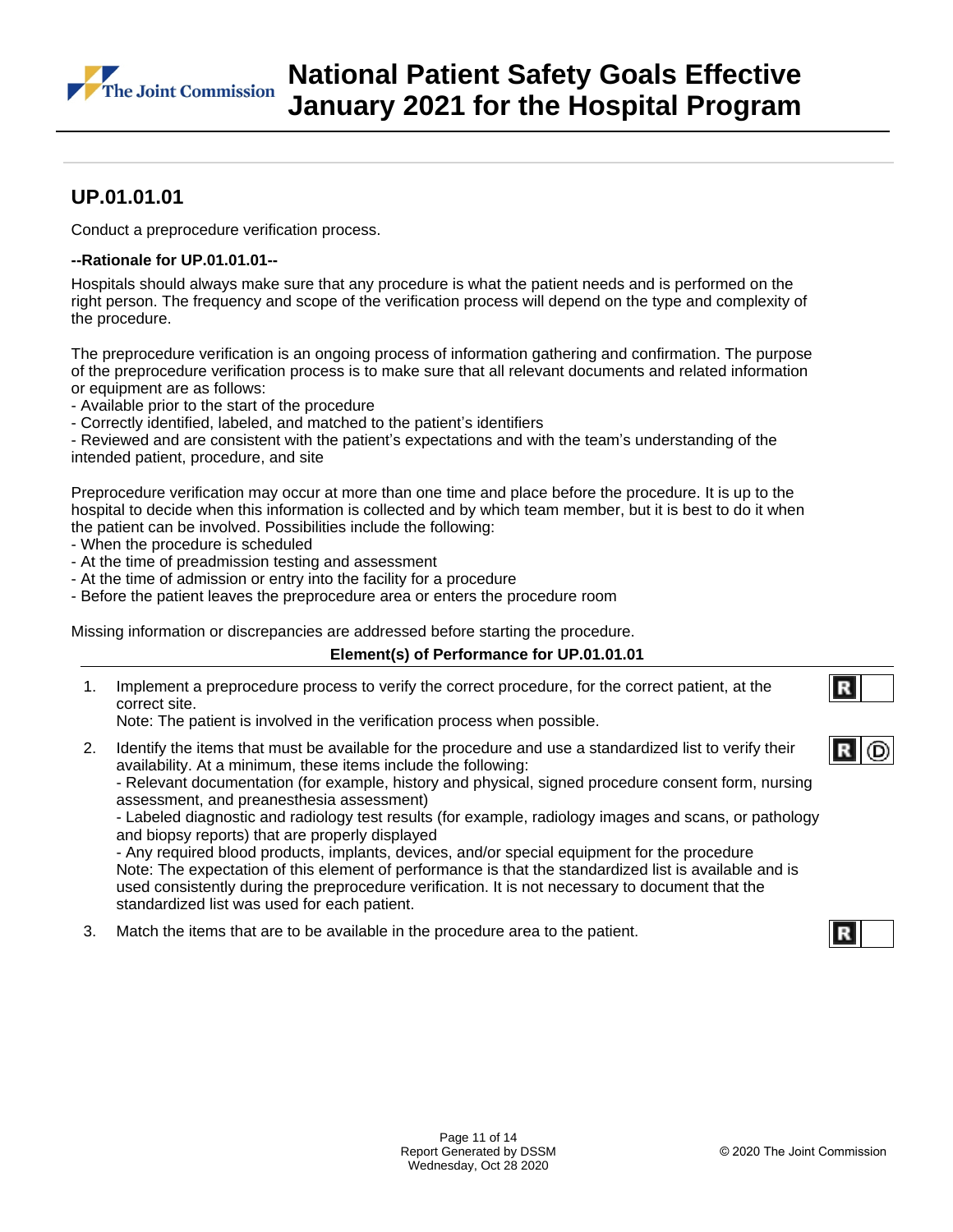

### **UP.01.01.01**

Conduct a preprocedure verification process.

#### **--Rationale for UP.01.01.01--**

Hospitals should always make sure that any procedure is what the patient needs and is performed on the right person. The frequency and scope of the verification process will depend on the type and complexity of the procedure.

The preprocedure verification is an ongoing process of information gathering and confirmation. The purpose of the preprocedure verification process is to make sure that all relevant documents and related information or equipment are as follows:

- Available prior to the start of the procedure

- Correctly identified, labeled, and matched to the patient's identifiers

- Reviewed and are consistent with the patient's expectations and with the team's understanding of the intended patient, procedure, and site

Preprocedure verification may occur at more than one time and place before the procedure. It is up to the hospital to decide when this information is collected and by which team member, but it is best to do it when the patient can be involved. Possibilities include the following:

- When the procedure is scheduled

- At the time of preadmission testing and assessment

- At the time of admission or entry into the facility for a procedure

- Before the patient leaves the preprocedure area or enters the procedure room

Missing information or discrepancies are addressed before starting the procedure.

#### **Element(s) of Performance for UP.01.01.01**

1. Implement a preprocedure process to verify the correct procedure, for the correct patient, at the correct site.

Note: The patient is involved in the verification process when possible.

2. Identify the items that must be available for the procedure and use a standardized list to verify their availability. At a minimum, these items include the following:

- Relevant documentation (for example, history and physical, signed procedure consent form, nursing assessment, and preanesthesia assessment)

- Labeled diagnostic and radiology test results (for example, radiology images and scans, or pathology and biopsy reports) that are properly displayed

- Any required blood products, implants, devices, and/or special equipment for the procedure Note: The expectation of this element of performance is that the standardized list is available and is used consistently during the preprocedure verification. It is not necessary to document that the standardized list was used for each patient.

3. Match the items that are to be available in the procedure area to the patient.

IR.

|--|--|

| Page 11 of 14                   |  |
|---------------------------------|--|
| <b>Report Generated by DSSM</b> |  |
| Wednesday, Oct 28 2020          |  |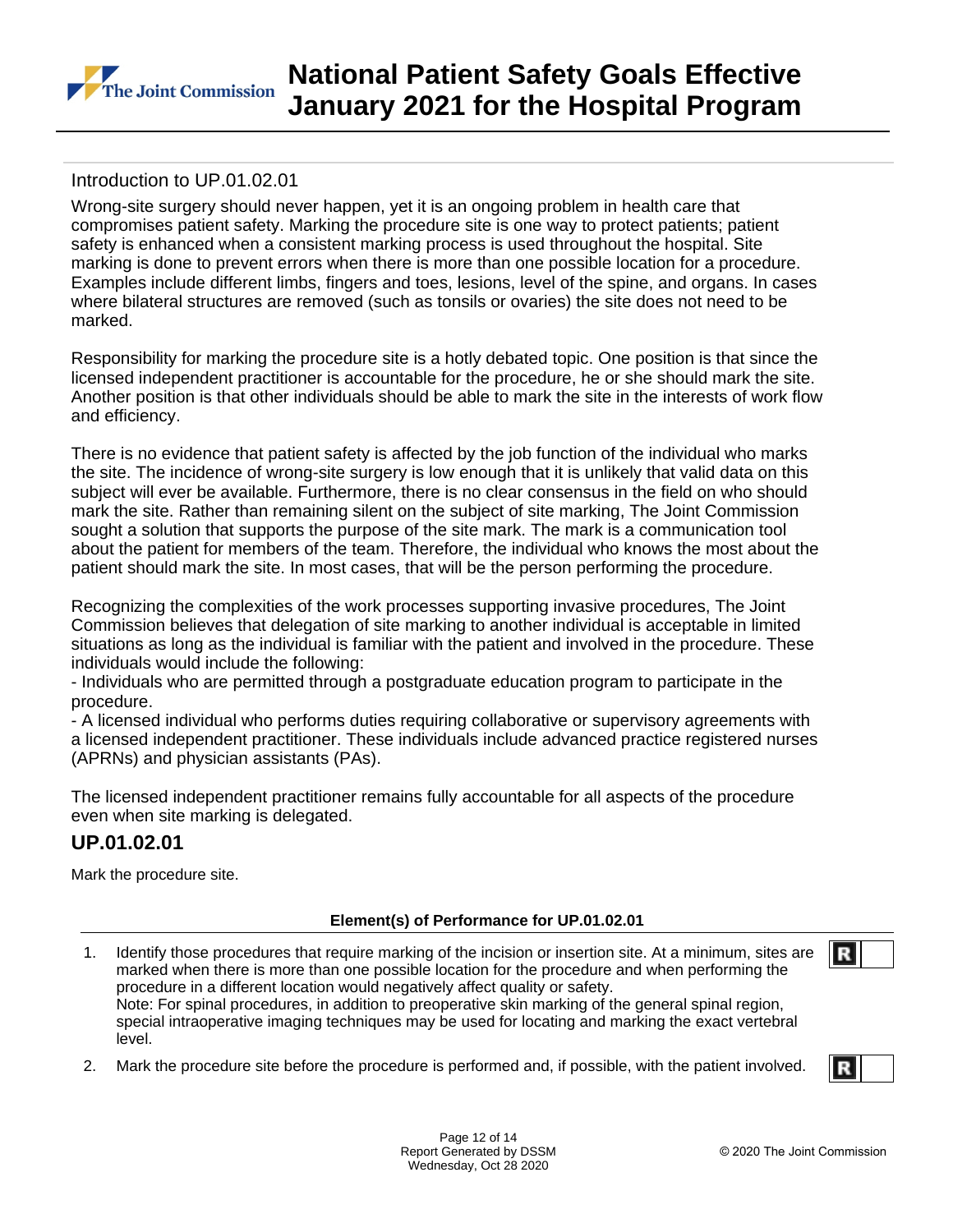

### Introduction to UP.01.02.01

Wrong-site surgery should never happen, yet it is an ongoing problem in health care that compromises patient safety. Marking the procedure site is one way to protect patients; patient safety is enhanced when a consistent marking process is used throughout the hospital. Site marking is done to prevent errors when there is more than one possible location for a procedure. Examples include different limbs, fingers and toes, lesions, level of the spine, and organs. In cases where bilateral structures are removed (such as tonsils or ovaries) the site does not need to be marked.

Responsibility for marking the procedure site is a hotly debated topic. One position is that since the licensed independent practitioner is accountable for the procedure, he or she should mark the site. Another position is that other individuals should be able to mark the site in the interests of work flow and efficiency.

There is no evidence that patient safety is affected by the job function of the individual who marks the site. The incidence of wrong-site surgery is low enough that it is unlikely that valid data on this subject will ever be available. Furthermore, there is no clear consensus in the field on who should mark the site. Rather than remaining silent on the subject of site marking, The Joint Commission sought a solution that supports the purpose of the site mark. The mark is a communication tool about the patient for members of the team. Therefore, the individual who knows the most about the patient should mark the site. In most cases, that will be the person performing the procedure.

Recognizing the complexities of the work processes supporting invasive procedures, The Joint Commission believes that delegation of site marking to another individual is acceptable in limited situations as long as the individual is familiar with the patient and involved in the procedure. These individuals would include the following:

- Individuals who are permitted through a postgraduate education program to participate in the procedure.

- A licensed individual who performs duties requiring collaborative or supervisory agreements with a licensed independent practitioner. These individuals include advanced practice registered nurses (APRNs) and physician assistants (PAs).

The licensed independent practitioner remains fully accountable for all aspects of the procedure even when site marking is delegated.

### **UP.01.02.01**

Mark the procedure site.

#### **Element(s) of Performance for UP.01.02.01**

- 1. Identify those procedures that require marking of the incision or insertion site. At a minimum, sites are marked when there is more than one possible location for the procedure and when performing the procedure in a different location would negatively affect quality or safety. Note: For spinal procedures, in addition to preoperative skin marking of the general spinal region, special intraoperative imaging techniques may be used for locating and marking the exact vertebral level.
- 2. Mark the procedure site before the procedure is performed and, if possible, with the patient involved.



R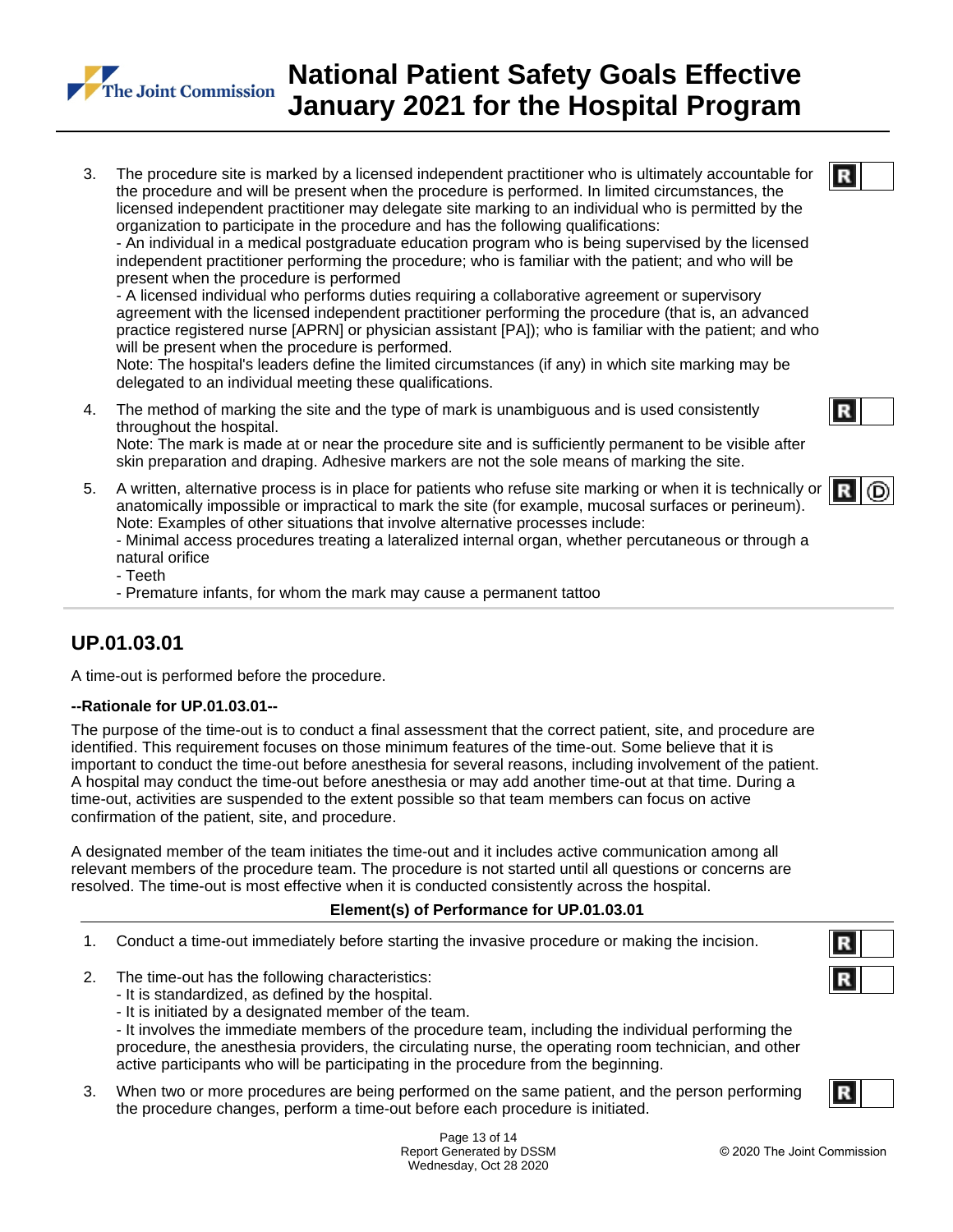**National Patient Safety Goals Effective** 

**January 2021 for the Hospital Program**

3. The procedure site is marked by a licensed independent practitioner who is ultimately accountable for the procedure and will be present when the procedure is performed. In limited circumstances, the licensed independent practitioner may delegate site marking to an individual who is permitted by the organization to participate in the procedure and has the following qualifications:

- An individual in a medical postgraduate education program who is being supervised by the licensed independent practitioner performing the procedure; who is familiar with the patient; and who will be present when the procedure is performed

- A licensed individual who performs duties requiring a collaborative agreement or supervisory agreement with the licensed independent practitioner performing the procedure (that is, an advanced practice registered nurse [APRN] or physician assistant [PA]); who is familiar with the patient; and who will be present when the procedure is performed.

Note: The hospital's leaders define the limited circumstances (if any) in which site marking may be delegated to an individual meeting these qualifications.

4. The method of marking the site and the type of mark is unambiguous and is used consistently throughout the hospital.

Note: The mark is made at or near the procedure site and is sufficiently permanent to be visible after skin preparation and draping. Adhesive markers are not the sole means of marking the site.

5. A written, alternative process is in place for patients who refuse site marking or when it is technically or  $\|\cdot\|$ anatomically impossible or impractical to mark the site (for example, mucosal surfaces or perineum). Note: Examples of other situations that involve alternative processes include:

- Minimal access procedures treating a lateralized internal organ, whether percutaneous or through a natural orifice

- Teeth

- Premature infants, for whom the mark may cause a permanent tattoo

# **UP.01.03.01**

A time-out is performed before the procedure.

#### **--Rationale for UP.01.03.01--**

The Joint Commission

The purpose of the time-out is to conduct a final assessment that the correct patient, site, and procedure are identified. This requirement focuses on those minimum features of the time-out. Some believe that it is important to conduct the time-out before anesthesia for several reasons, including involvement of the patient. A hospital may conduct the time-out before anesthesia or may add another time-out at that time. During a time-out, activities are suspended to the extent possible so that team members can focus on active confirmation of the patient, site, and procedure.

A designated member of the team initiates the time-out and it includes active communication among all relevant members of the procedure team. The procedure is not started until all questions or concerns are resolved. The time-out is most effective when it is conducted consistently across the hospital.

#### **Element(s) of Performance for UP.01.03.01**

- 1. Conduct a time-out immediately before starting the invasive procedure or making the incision.
- 2. The time-out has the following characteristics:
	- It is standardized, as defined by the hospital.
	- It is initiated by a designated member of the team.

- It involves the immediate members of the procedure team, including the individual performing the procedure, the anesthesia providers, the circulating nurse, the operating room technician, and other active participants who will be participating in the procedure from the beginning.

3. When two or more procedures are being performed on the same patient, and the person performing the procedure changes, perform a time-out before each procedure is initiated.